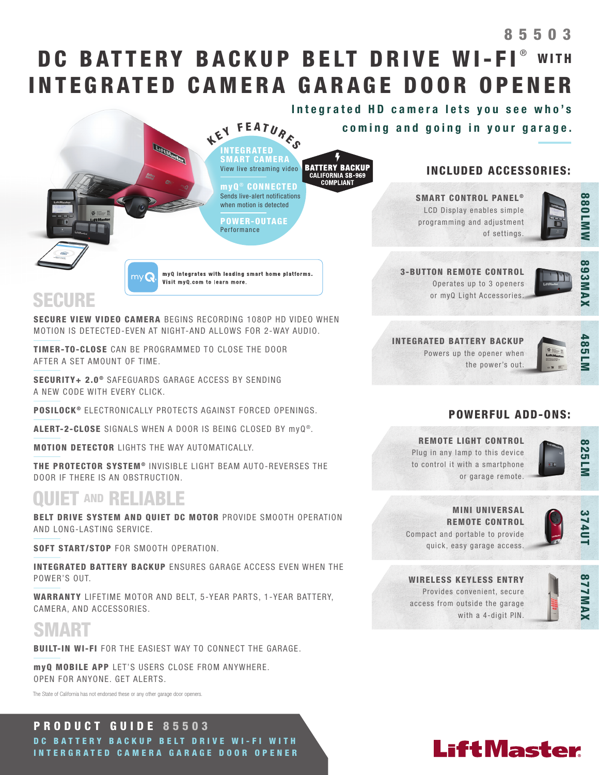# DC BATTERY BACKUP BELT DRIVE WI-FI® WITH INTEGRATED CAMERA GARAGE DOOR OPENER 85503

**BATTERY BACKUP**<br>CALIFORNIA SB-969<br>COMPLIANT

myQ ® CONNECTED Sends live-alert notifications when motion is detected

POWER-OUTAGE Performance

myQ integrates with leading smart home platforms.

INTEGRATED SMART CAMERA View live streaming video

KEY FEATURES Integrated HD camera lets you see who's coming and going in your garage.

## INCLUDED ACCESSORIES:



88<br>MMW

SMART CONTROL PANEL<sup>®</sup> LCD Display enables simple programming and adjustment of settings.

3-BUTTON REMOTE CONTROL Operates up to 3 openers

or myQ Light Accessories.



# SECURE

SECURE VIEW VIDEO CAMERA BEGINS RECORDING 1080P HD VIDEO WHEN MOTION IS DETECTED-EVEN AT NIGHT-AND ALLOWS FOR 2-WAY AUDIO.

Visit myQ.com to learn more.

TIMER-TO-CLOSE CAN BE PROGRAMMED TO CLOSE THE DOOR AFTER A SET AMOUNT OF TIME.

 $m<sub>V</sub>$ 

**LiftMaster** 

SECURITY+ 2.0<sup>®</sup> SAFEGUARDS GARAGE ACCESS BY SENDING A NEW CODE WITH EVERY CLICK.

POSILOCK<sup>®</sup> ELECTRONICALLY PROTECTS AGAINST FORCED OPENINGS.

ALERT-2-CLOSE SIGNALS WHEN A DOOR IS BEING CLOSED BY myQ®.

MOTION DETECTOR LIGHTS THE WAY AUTOMATICALLY.

THE PROTECTOR SYSTEM<sup>®</sup> INVISIBLE LIGHT BEAM AUTO-REVERSES THE DOOR IF THERE IS AN OBSTRUCTION.

# **OUIET AND RELIABLE**

BELT DRIVE SYSTEM AND QUIET DC MOTOR PROVIDE SMOOTH OPERATION AND LONG-LASTING SERVICE.

SOFT START/STOP FOR SMOOTH OPERATION.

INTEGRATED BATTERY BACKUP ENSURES GARAGE ACCESS EVEN WHEN THE POWER'S OUT.

WARRANTY LIFETIME MOTOR AND BELT, 5-YEAR PARTS, 1-YEAR BATTERY, CAMERA, AND ACCESSORIES.

# SMART

BUILT-IN WI-FI FOR THE EASIEST WAY TO CONNECT THE GARAGE.

myQ MOBILE APP LET'S USERS CLOSE FROM ANYWHERE. OPEN FOR ANYONE. GET ALERTS.

The State of California has not endorsed these or any other garage door openers.

# PRODUCT GUIDE 85503

DC BATTERY BACKUP BELT DRIVE WI-FI WITH INTERGRATED CAMERA GARAGE DOOR OPENER INTEGRATED BATTERY BACKUP Powers up the opener when the power's out.



## POWERFUL ADD-ONS:

REMOTE LIGHT CONTROL Plug in any lamp to this device to control it with a smartphone or garage remote.



## MINI UNIVERSAL REMOTE CONTROL Compact and portable to provide

374UT

WIRELESS KEYLESS ENTRY Provides convenient, secure access from outside the garage with a 4-digit PIN.

quick, easy garage access.